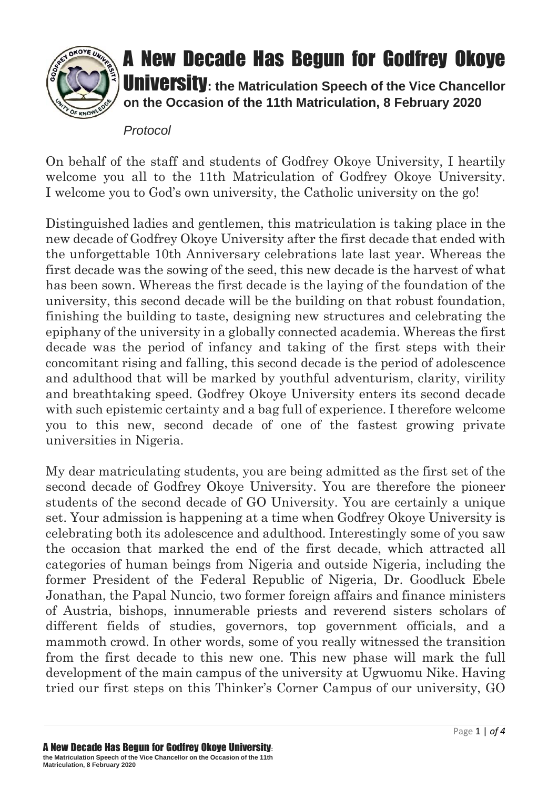

## A New Decade Has Begun for Godfrey Okoye University**: the Matriculation Speech of the Vice Chancellor**

**on the Occasion of the 11th Matriculation, 8 February 2020**

## *Protocol*

On behalf of the staff and students of Godfrey Okoye University, I heartily welcome you all to the 11th Matriculation of Godfrey Okoye University. I welcome you to God's own university, the Catholic university on the go!

Distinguished ladies and gentlemen, this matriculation is taking place in the new decade of Godfrey Okoye University after the first decade that ended with the unforgettable 10th Anniversary celebrations late last year. Whereas the first decade was the sowing of the seed, this new decade is the harvest of what has been sown. Whereas the first decade is the laying of the foundation of the university, this second decade will be the building on that robust foundation, finishing the building to taste, designing new structures and celebrating the epiphany of the university in a globally connected academia. Whereas the first decade was the period of infancy and taking of the first steps with their concomitant rising and falling, this second decade is the period of adolescence and adulthood that will be marked by youthful adventurism, clarity, virility and breathtaking speed. Godfrey Okoye University enters its second decade with such epistemic certainty and a bag full of experience. I therefore welcome you to this new, second decade of one of the fastest growing private universities in Nigeria.

My dear matriculating students, you are being admitted as the first set of the second decade of Godfrey Okoye University. You are therefore the pioneer students of the second decade of GO University. You are certainly a unique set. Your admission is happening at a time when Godfrey Okoye University is celebrating both its adolescence and adulthood. Interestingly some of you saw the occasion that marked the end of the first decade, which attracted all categories of human beings from Nigeria and outside Nigeria, including the former President of the Federal Republic of Nigeria, Dr. Goodluck Ebele Jonathan, the Papal Nuncio, two former foreign affairs and finance ministers of Austria, bishops, innumerable priests and reverend sisters scholars of different fields of studies, governors, top government officials, and a mammoth crowd. In other words, some of you really witnessed the transition from the first decade to this new one. This new phase will mark the full development of the main campus of the university at Ugwuomu Nike. Having tried our first steps on this Thinker's Corner Campus of our university, GO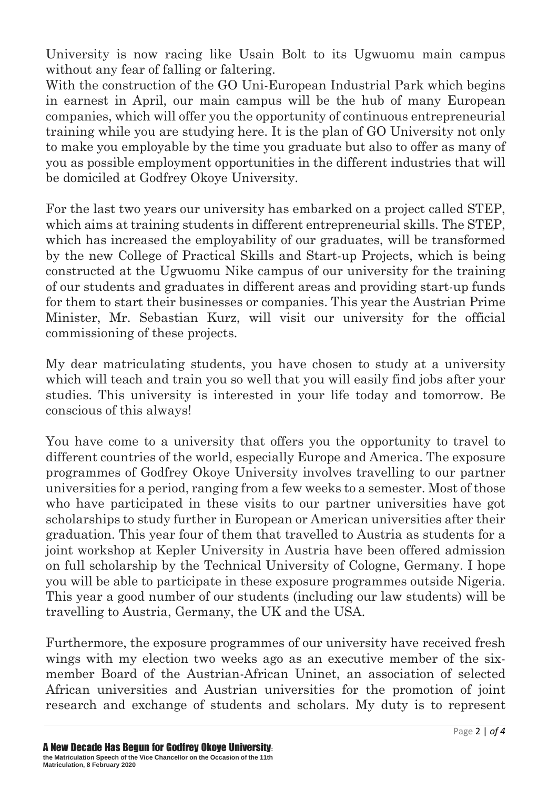University is now racing like Usain Bolt to its Ugwuomu main campus without any fear of falling or faltering.

With the construction of the GO Uni-European Industrial Park which begins in earnest in April, our main campus will be the hub of many European companies, which will offer you the opportunity of continuous entrepreneurial training while you are studying here. It is the plan of GO University not only to make you employable by the time you graduate but also to offer as many of you as possible employment opportunities in the different industries that will be domiciled at Godfrey Okoye University.

For the last two years our university has embarked on a project called STEP, which aims at training students in different entrepreneurial skills. The STEP, which has increased the employability of our graduates, will be transformed by the new College of Practical Skills and Start-up Projects, which is being constructed at the Ugwuomu Nike campus of our university for the training of our students and graduates in different areas and providing start-up funds for them to start their businesses or companies. This year the Austrian Prime Minister, Mr. Sebastian Kurz, will visit our university for the official commissioning of these projects.

My dear matriculating students, you have chosen to study at a university which will teach and train you so well that you will easily find jobs after your studies. This university is interested in your life today and tomorrow. Be conscious of this always!

You have come to a university that offers you the opportunity to travel to different countries of the world, especially Europe and America. The exposure programmes of Godfrey Okoye University involves travelling to our partner universities for a period, ranging from a few weeks to a semester. Most of those who have participated in these visits to our partner universities have got scholarships to study further in European or American universities after their graduation. This year four of them that travelled to Austria as students for a joint workshop at Kepler University in Austria have been offered admission on full scholarship by the Technical University of Cologne, Germany. I hope you will be able to participate in these exposure programmes outside Nigeria. This year a good number of our students (including our law students) will be travelling to Austria, Germany, the UK and the USA.

Furthermore, the exposure programmes of our university have received fresh wings with my election two weeks ago as an executive member of the sixmember Board of the Austrian-African Uninet, an association of selected African universities and Austrian universities for the promotion of joint research and exchange of students and scholars. My duty is to represent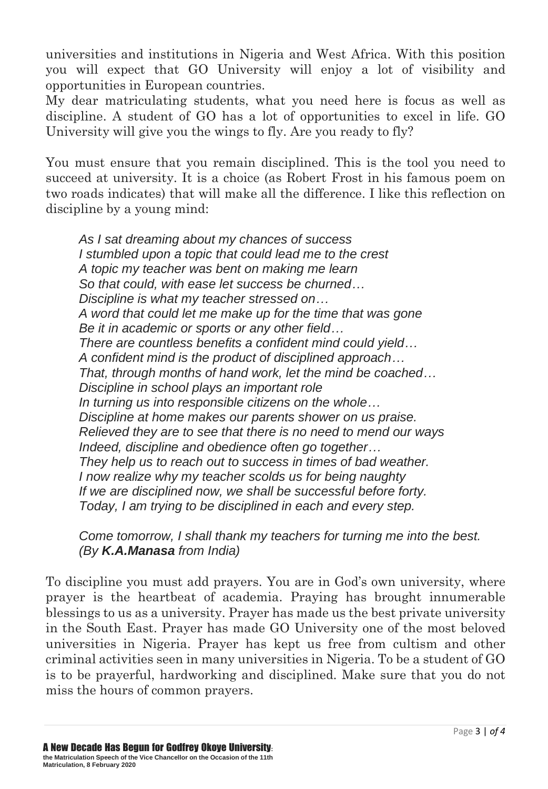universities and institutions in Nigeria and West Africa. With this position you will expect that GO University will enjoy a lot of visibility and opportunities in European countries.

My dear matriculating students, what you need here is focus as well as discipline. A student of GO has a lot of opportunities to excel in life. GO University will give you the wings to fly. Are you ready to fly?

You must ensure that you remain disciplined. This is the tool you need to succeed at university. It is a choice (as Robert Frost in his famous poem on two roads indicates) that will make all the difference. I like this reflection on discipline by a young mind:

*As I sat dreaming about my chances of success I stumbled upon a topic that could lead me to the crest A topic my teacher was bent on making me learn So that could, with ease let success be churned… Discipline is what my teacher stressed on… A word that could let me make up for the time that was gone Be it in academic or sports or any other field… There are countless benefits a confident mind could yield… A confident mind is the product of disciplined approach… That, through months of hand work, let the mind be coached… Discipline in school plays an important role In turning us into responsible citizens on the whole… Discipline at home makes our parents shower on us praise. Relieved they are to see that there is no need to mend our ways Indeed, discipline and obedience often go together… They help us to reach out to success in times of bad weather. I now realize why my teacher scolds us for being naughty If we are disciplined now, we shall be successful before forty. Today, I am trying to be disciplined in each and every step.*

*Come tomorrow, I shall thank my teachers for turning me into the best. (By K.A.Manasa from India)*

To discipline you must add prayers. You are in God's own university, where prayer is the heartbeat of academia. Praying has brought innumerable blessings to us as a university. Prayer has made us the best private university in the South East. Prayer has made GO University one of the most beloved universities in Nigeria. Prayer has kept us free from cultism and other criminal activities seen in many universities in Nigeria. To be a student of GO is to be prayerful, hardworking and disciplined. Make sure that you do not miss the hours of common prayers.